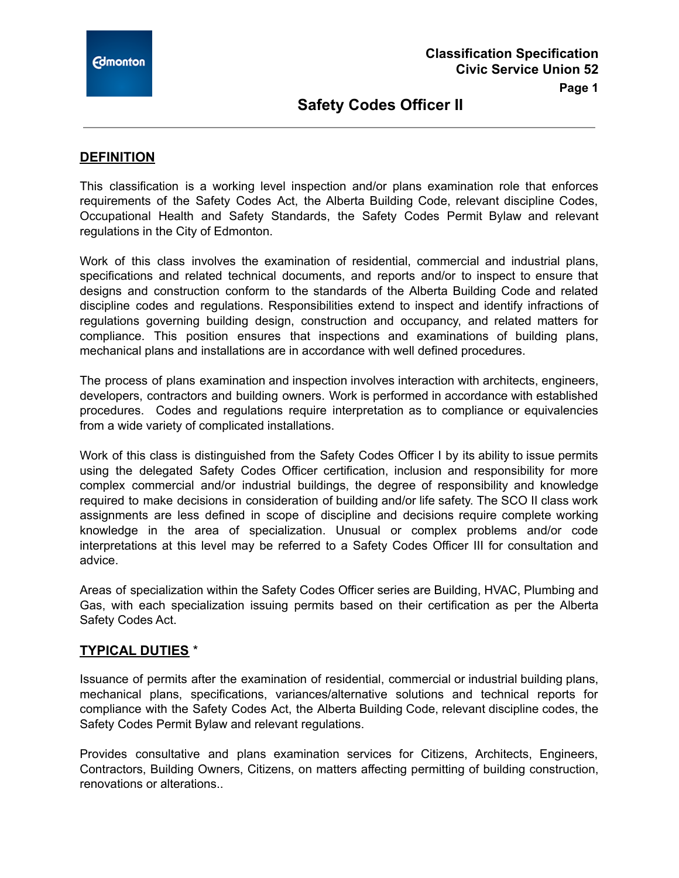# **DEFINITION**

This classification is a working level inspection and/or plans examination role that enforces requirements of the Safety Codes Act, the Alberta Building Code, relevant discipline Codes, Occupational Health and Safety Standards, the Safety Codes Permit Bylaw and relevant regulations in the City of Edmonton.

Work of this class involves the examination of residential, commercial and industrial plans, specifications and related technical documents, and reports and/or to inspect to ensure that designs and construction conform to the standards of the Alberta Building Code and related discipline codes and regulations. Responsibilities extend to inspect and identify infractions of regulations governing building design, construction and occupancy, and related matters for compliance. This position ensures that inspections and examinations of building plans, mechanical plans and installations are in accordance with well defined procedures.

The process of plans examination and inspection involves interaction with architects, engineers, developers, contractors and building owners. Work is performed in accordance with established procedures. Codes and regulations require interpretation as to compliance or equivalencies from a wide variety of complicated installations.

Work of this class is distinguished from the Safety Codes Officer I by its ability to issue permits using the delegated Safety Codes Officer certification, inclusion and responsibility for more complex commercial and/or industrial buildings, the degree of responsibility and knowledge required to make decisions in consideration of building and/or life safety. The SCO II class work assignments are less defined in scope of discipline and decisions require complete working knowledge in the area of specialization. Unusual or complex problems and/or code interpretations at this level may be referred to a Safety Codes Officer III for consultation and advice.

Areas of specialization within the Safety Codes Officer series are Building, HVAC, Plumbing and Gas, with each specialization issuing permits based on their certification as per the Alberta Safety Codes Act.

## **TYPICAL DUTIES** \*

Issuance of permits after the examination of residential, commercial or industrial building plans, mechanical plans, specifications, variances/alternative solutions and technical reports for compliance with the Safety Codes Act, the Alberta Building Code, relevant discipline codes, the Safety Codes Permit Bylaw and relevant regulations.

Provides consultative and plans examination services for Citizens, Architects, Engineers, Contractors, Building Owners, Citizens, on matters affecting permitting of building construction, renovations or alterations..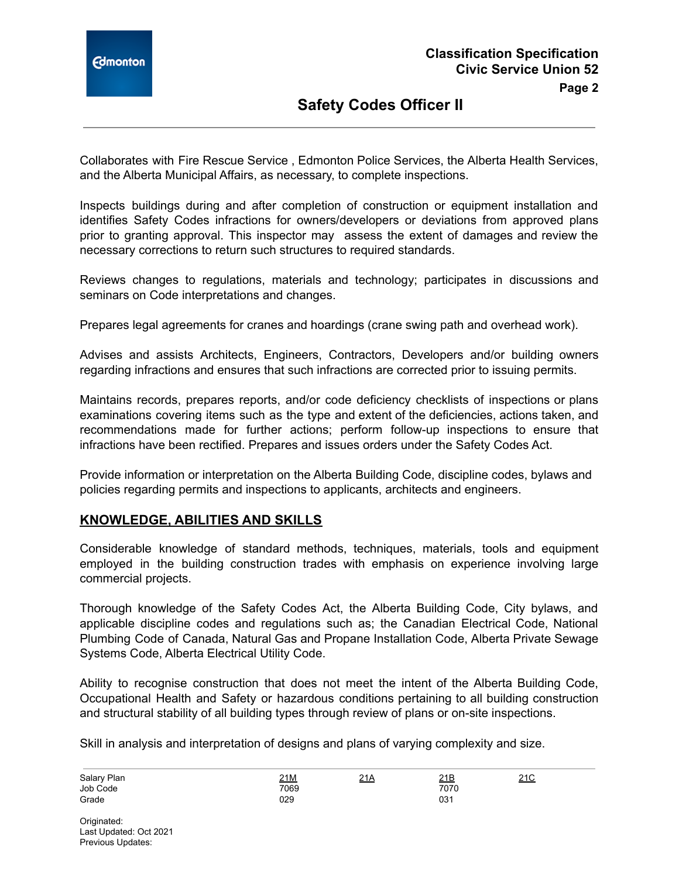

Collaborates with Fire Rescue Service , Edmonton Police Services, the Alberta Health Services, and the Alberta Municipal Affairs, as necessary, to complete inspections.

Inspects buildings during and after completion of construction or equipment installation and identifies Safety Codes infractions for owners/developers or deviations from approved plans prior to granting approval. This inspector may assess the extent of damages and review the necessary corrections to return such structures to required standards.

Reviews changes to regulations, materials and technology; participates in discussions and seminars on Code interpretations and changes.

Prepares legal agreements for cranes and hoardings (crane swing path and overhead work).

Advises and assists Architects, Engineers, Contractors, Developers and/or building owners regarding infractions and ensures that such infractions are corrected prior to issuing permits.

Maintains records, prepares reports, and/or code deficiency checklists of inspections or plans examinations covering items such as the type and extent of the deficiencies, actions taken, and recommendations made for further actions; perform follow-up inspections to ensure that infractions have been rectified. Prepares and issues orders under the Safety Codes Act.

Provide information or interpretation on the Alberta Building Code, discipline codes, bylaws and policies regarding permits and inspections to applicants, architects and engineers.

# **KNOWLEDGE, ABILITIES AND SKILLS**

Considerable knowledge of standard methods, techniques, materials, tools and equipment employed in the building construction trades with emphasis on experience involving large commercial projects.

Thorough knowledge of the Safety Codes Act, the Alberta Building Code, City bylaws, and applicable discipline codes and regulations such as; the Canadian Electrical Code, National Plumbing Code of Canada, Natural Gas and Propane Installation Code, Alberta Private Sewage Systems Code, Alberta Electrical Utility Code.

Ability to recognise construction that does not meet the intent of the Alberta Building Code, Occupational Health and Safety or hazardous conditions pertaining to all building construction and structural stability of all building types through review of plans or on-site inspections.

Skill in analysis and interpretation of designs and plans of varying complexity and size.

| Salary Plan | 21M  | 21A | 21B             | $\sim$<br><u> 4 I V</u> |
|-------------|------|-----|-----------------|-------------------------|
| Job Code    | 7069 |     | 7070            |                         |
| Grade       | 029  |     | 03 <sup>.</sup> |                         |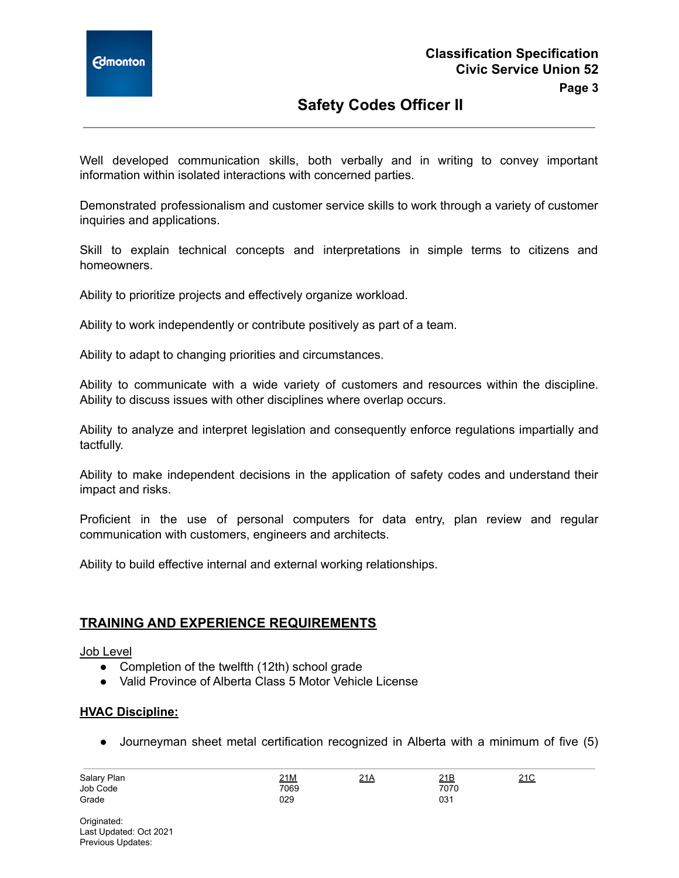

Well developed communication skills, both verbally and in writing to convey important information within isolated interactions with concerned parties.

Demonstrated professionalism and customer service skills to work through a variety of customer inquiries and applications.

Skill to explain technical concepts and interpretations in simple terms to citizens and homeowners.

Ability to prioritize projects and effectively organize workload.

Ability to work independently or contribute positively as part of a team.

Ability to adapt to changing priorities and circumstances.

Ability to communicate with a wide variety of customers and resources within the discipline. Ability to discuss issues with other disciplines where overlap occurs.

Ability to analyze and interpret legislation and consequently enforce regulations impartially and tactfully.

Ability to make independent decisions in the application of safety codes and understand their impact and risks.

Proficient in the use of personal computers for data entry, plan review and regular communication with customers, engineers and architects.

Ability to build effective internal and external working relationships.

#### **TRAINING AND EXPERIENCE REQUIREMENTS**

#### Job Level

- Completion of the twelfth (12th) school grade
- Valid Province of Alberta Class 5 Motor Vehicle License

#### **HVAC Discipline:**

● Journeyman sheet metal certification recognized in Alberta with a minimum of five (5)

| Salary Plan | 21M  | 21A | <u>21B</u> | 210<br><u>ے ت</u> |
|-------------|------|-----|------------|-------------------|
| Job Code    | 7069 |     | 7070       |                   |
| Grade       | 029  |     | 031        |                   |

Originated: Last Updated: Oct 2021 Previous Updates: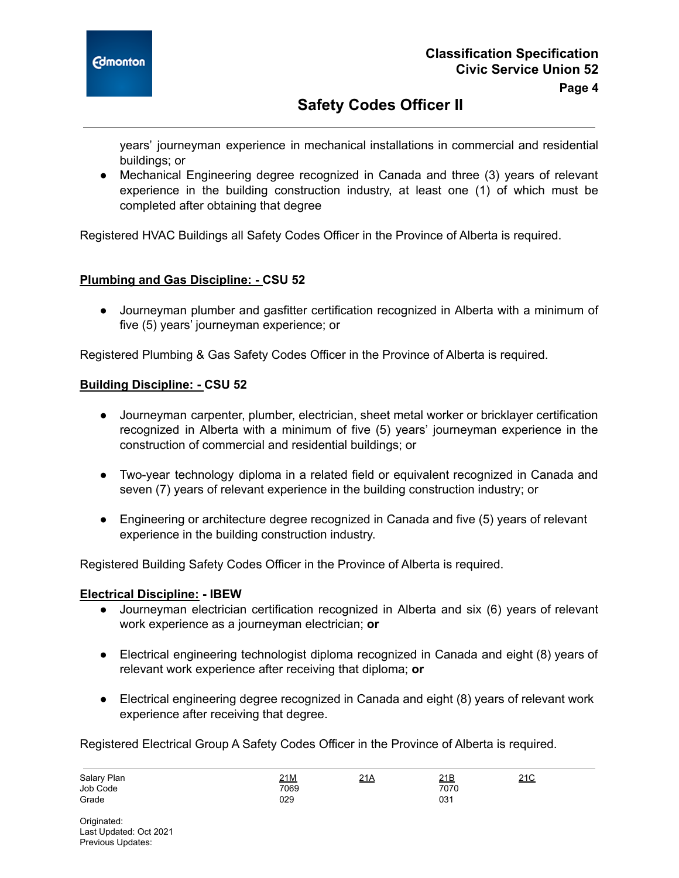

years' journeyman experience in mechanical installations in commercial and residential buildings; or

● Mechanical Engineering degree recognized in Canada and three (3) years of relevant experience in the building construction industry, at least one (1) of which must be completed after obtaining that degree

Registered HVAC Buildings all Safety Codes Officer in the Province of Alberta is required.

# **Plumbing and Gas Discipline: - CSU 52**

● Journeyman plumber and gasfitter certification recognized in Alberta with a minimum of five (5) years' journeyman experience; or

Registered Plumbing & Gas Safety Codes Officer in the Province of Alberta is required.

## **Building Discipline: - CSU 52**

- Journeyman carpenter, plumber, electrician, sheet metal worker or bricklayer certification recognized in Alberta with a minimum of five (5) years' journeyman experience in the construction of commercial and residential buildings; or
- Two-year technology diploma in a related field or equivalent recognized in Canada and seven (7) years of relevant experience in the building construction industry; or
- Engineering or architecture degree recognized in Canada and five (5) years of relevant experience in the building construction industry.

Registered Building Safety Codes Officer in the Province of Alberta is required.

## **Electrical Discipline: - IBEW**

- Journeyman electrician certification recognized in Alberta and six (6) years of relevant work experience as a journeyman electrician; **or**
- Electrical engineering technologist diploma recognized in Canada and eight (8) years of relevant work experience after receiving that diploma; **or**
- Electrical engineering degree recognized in Canada and eight (8) years of relevant work experience after receiving that degree.

Registered Electrical Group A Safety Codes Officer in the Province of Alberta is required.

| Salary Plan | <u>21M</u> | 21A | 21B  | 210<br>∠∣∪ |
|-------------|------------|-----|------|------------|
| Job Code    | 7069       |     | 7070 |            |
| Grade       | 029        |     | 031  |            |